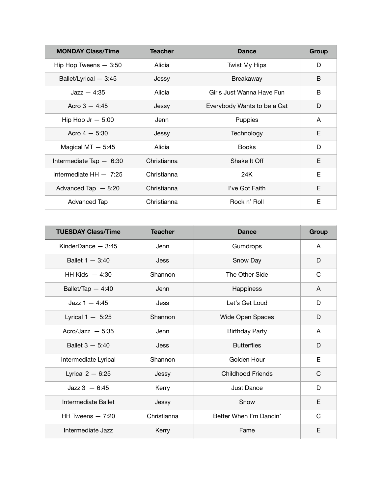| <b>MONDAY Class/Time</b> | <b>Teacher</b> | <b>Dance</b>                | Group |
|--------------------------|----------------|-----------------------------|-------|
| Hip Hop Tweens $-3:50$   | Alicia         | <b>Twist My Hips</b>        | D     |
| Ballet/Lyrical - 3:45    | Jessy          | <b>Breakaway</b>            | B     |
| $Jazz - 4:35$            | Alicia         | Girls Just Wanna Have Fun   | B     |
| Acro $3 - 4:45$          | Jessy          | Everybody Wants to be a Cat | D     |
| Hip Hop Jr $-5:00$       | Jenn           | <b>Puppies</b>              | A     |
| Acro $4 - 5:30$          | Jessy          | Technology                  | Е     |
| Magical $MT - 5:45$      | Alicia         | <b>Books</b>                | D     |
| Intermediate Tap $-6:30$ | Christianna    | Shake It Off                | E     |
| Intermediate $HH - 7:25$ | Christianna    | 24K                         | E     |
| Advanced Tap $-8:20$     | Christianna    | I've Got Faith              | E     |
| Advanced Tap             | Christianna    | Rock n' Roll                | Ε     |

| <b>TUESDAY Class/Time</b> | <b>Teacher</b> | <b>Dance</b>             | Group |
|---------------------------|----------------|--------------------------|-------|
| KinderDance $-3:45$       | Jenn           | Gumdrops                 | A     |
| Ballet $1 - 3:40$         | <b>Jess</b>    | Snow Day                 | D     |
| HH Kids $-4:30$           | Shannon        | The Other Side           | C     |
| Ballet/Tap $-4:40$        | Jenn           | Happiness                | A     |
| $Jazz 1 - 4:45$           | Jess           | Let's Get Loud           | D     |
| Lyrical $1 - 5:25$        | Shannon        | Wide Open Spaces         | D     |
| Acro/Jazz $-5:35$         | Jenn           | <b>Birthday Party</b>    | A     |
| Ballet $3 - 5:40$         | <b>Jess</b>    | <b>Butterflies</b>       | D     |
| Intermediate Lyrical      | Shannon        | Golden Hour              | E.    |
| Lyrical $2 - 6:25$        | Jessy          | <b>Childhood Friends</b> | C     |
| $Jazz 3 - 6:45$           | Kerry          | Just Dance               | D     |
| Intermediate Ballet       | Jessy          | Snow                     | E     |
| HH Tweens $-7:20$         | Christianna    | Better When I'm Dancin'  | C     |
| Intermediate Jazz         | Kerry          | Fame                     | E     |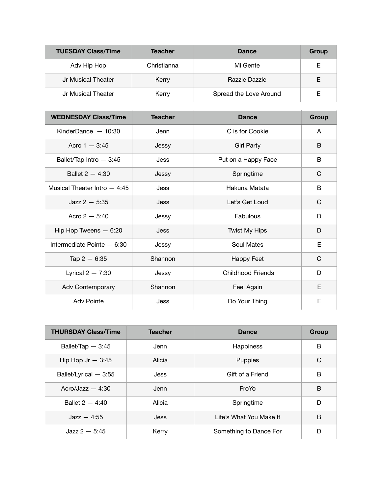| <b>TUESDAY Class/Time</b> | <b>Teacher</b> | Dance                  | Group |
|---------------------------|----------------|------------------------|-------|
| Adv Hip Hop               | Christianna    | Mi Gente               | F     |
| Jr Musical Theater        | Kerry          | Razzle Dazzle          | E     |
| Jr Musical Theater        | Kerry          | Spread the Love Around | F     |

| <b>WEDNESDAY Class/Time</b>   | <b>Teacher</b> | <b>Dance</b>             | Group |
|-------------------------------|----------------|--------------------------|-------|
| KinderDance $-10:30$          | Jenn           | C is for Cookie          | A     |
| Acro $1 - 3:45$               | Jessy          | <b>Girl Party</b>        | B     |
| Ballet/Tap Intro $-3:45$      | Jess           | Put on a Happy Face      | В     |
| Ballet $2 - 4:30$             | Jessy          | Springtime               | C     |
| Musical Theater Intro $-4:45$ | Jess           | Hakuna Matata            | B     |
| $Jazz 2 - 5:35$               | Jess           | Let's Get Loud           | C     |
| Acro $2 - 5:40$               | Jessy          | Fabulous                 | D     |
| Hip Hop Tweens $-6:20$        | Jess           | <b>Twist My Hips</b>     | D     |
| Intermediate Pointe - 6:30    | Jessy          | Soul Mates               | E     |
| Tap $2 - 6:35$                | Shannon        | Happy Feet               | C     |
| Lyrical $2 - 7:30$            | Jessy          | <b>Childhood Friends</b> | D     |
| Adv Contemporary              | Shannon        | Feel Again               | E     |
| <b>Adv Pointe</b>             | Jess           | Do Your Thing            | E     |

| <b>THURSDAY Class/Time</b> | <b>Teacher</b> | <b>Dance</b>            | Group |
|----------------------------|----------------|-------------------------|-------|
| Ballet/Tap $-3:45$         | Jenn           | Happiness               | B     |
| Hip Hop Jr $-3:45$         | Alicia         | Puppies                 | C     |
| Ballet/Lyrical $-3:55$     | Jess           | Gift of a Friend        | B     |
| Acro/Jazz $-4:30$          | Jenn           | FroYo                   | B     |
| Ballet $2 - 4:40$          | Alicia         | Springtime              | D     |
| $\text{Jazz} - 4:55$       | Jess           | Life's What You Make It | B     |
| $Jazz 2 - 5:45$            | Kerry          | Something to Dance For  | D     |